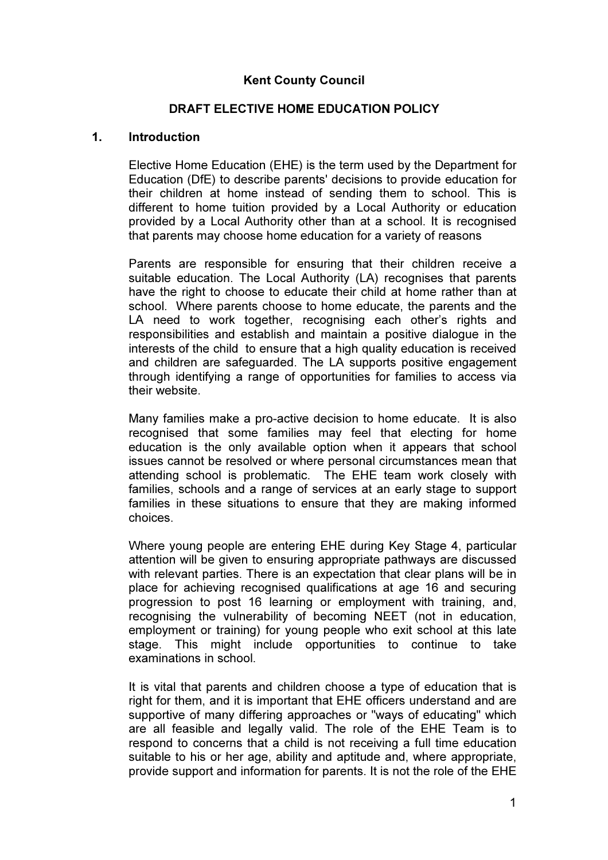## Kent County Council

### DRAFT ELECTIVE HOME EDUCATION POLICY

#### 1. Introduction

 Elective Home Education (EHE) is the term used by the Department for Education (DfE) to describe parents' decisions to provide education for their children at home instead of sending them to school. This is different to home tuition provided by a Local Authority or education provided by a Local Authority other than at a school. It is recognised that parents may choose home education for a variety of reasons

Parents are responsible for ensuring that their children receive a suitable education. The Local Authority (LA) recognises that parents have the right to choose to educate their child at home rather than at school. Where parents choose to home educate, the parents and the LA need to work together, recognising each other's rights and responsibilities and establish and maintain a positive dialogue in the interests of the child to ensure that a high quality education is received and children are safeguarded. The LA supports positive engagement through identifying a range of opportunities for families to access via their website.

Many families make a pro-active decision to home educate. It is also recognised that some families may feel that electing for home education is the only available option when it appears that school issues cannot be resolved or where personal circumstances mean that attending school is problematic. The EHE team work closely with families, schools and a range of services at an early stage to support families in these situations to ensure that they are making informed choices.

Where young people are entering EHE during Key Stage 4, particular attention will be given to ensuring appropriate pathways are discussed with relevant parties. There is an expectation that clear plans will be in place for achieving recognised qualifications at age 16 and securing progression to post 16 learning or employment with training, and, recognising the vulnerability of becoming NEET (not in education, employment or training) for young people who exit school at this late stage. This might include opportunities to continue to take examinations in school.

 It is vital that parents and children choose a type of education that is right for them, and it is important that EHE officers understand and are supportive of many differing approaches or "ways of educating" which are all feasible and legally valid. The role of the EHE Team is to respond to concerns that a child is not receiving a full time education suitable to his or her age, ability and aptitude and, where appropriate, provide support and information for parents. It is not the role of the EHE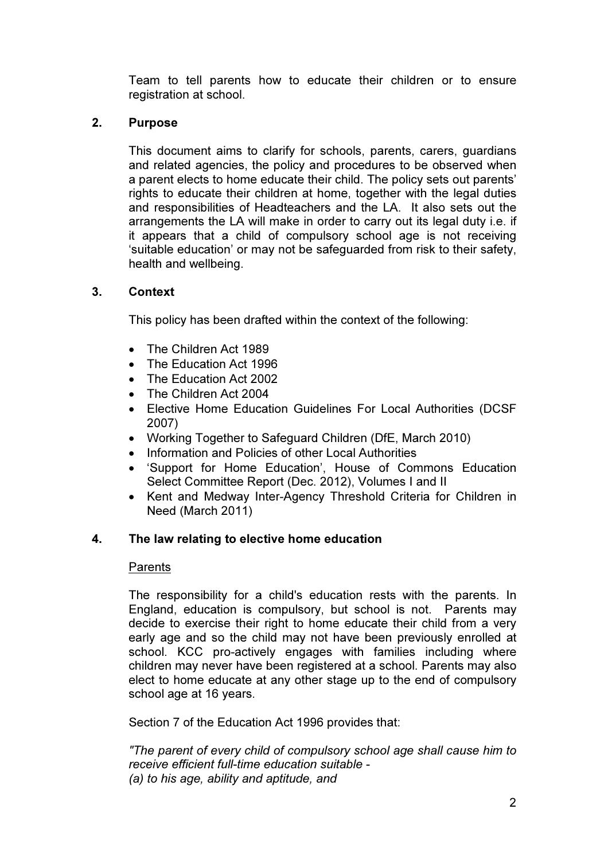Team to tell parents how to educate their children or to ensure registration at school.

# 2. Purpose

This document aims to clarify for schools, parents, carers, guardians and related agencies, the policy and procedures to be observed when a parent elects to home educate their child. The policy sets out parents' rights to educate their children at home, together with the legal duties and responsibilities of Headteachers and the LA. It also sets out the arrangements the LA will make in order to carry out its legal duty i.e. if it appears that a child of compulsory school age is not receiving 'suitable education' or may not be safeguarded from risk to their safety, health and wellbeing.

# 3. Context

This policy has been drafted within the context of the following:

- The Children Act 1989
- The Education Act 1996
- The Education Act 2002
- The Children Act 2004
- Elective Home Education Guidelines For Local Authorities (DCSF 2007)
- Working Together to Safeguard Children (DfE, March 2010)
- Information and Policies of other Local Authorities
- 'Support for Home Education', House of Commons Education Select Committee Report (Dec. 2012), Volumes I and II
- Kent and Medway Inter-Agency Threshold Criteria for Children in Need (March 2011)

## 4. The law relating to elective home education

## Parents

The responsibility for a child's education rests with the parents. In England, education is compulsory, but school is not. Parents may decide to exercise their right to home educate their child from a very early age and so the child may not have been previously enrolled at school. KCC pro-actively engages with families including where children may never have been registered at a school. Parents may also elect to home educate at any other stage up to the end of compulsory school age at 16 years.

Section 7 of the Education Act 1996 provides that:

"The parent of every child of compulsory school age shall cause him to receive efficient full-time education suitable - (a) to his age, ability and aptitude, and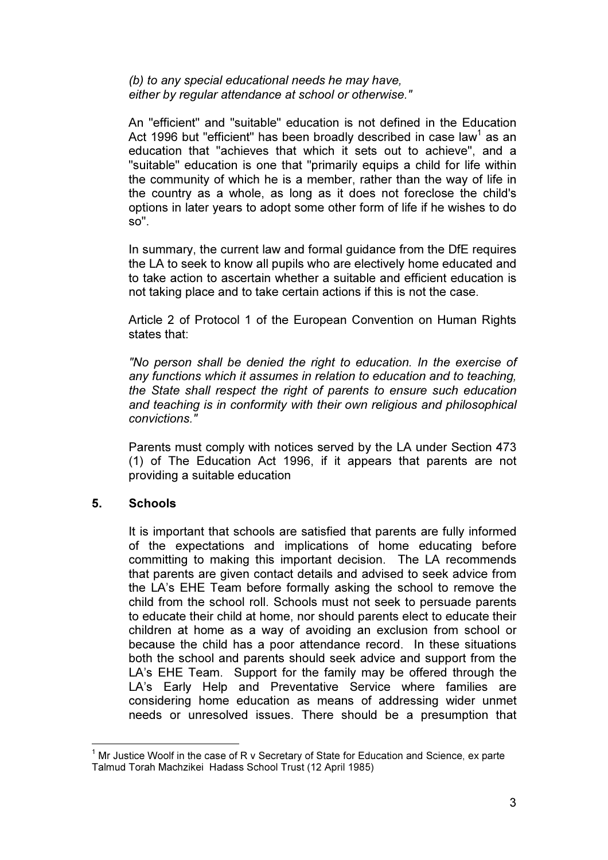#### (b) to any special educational needs he may have, either by regular attendance at school or otherwise."

 An "efficient" and "suitable" education is not defined in the Education Act 1996 but "efficient" has been broadly described in case law<sup>1</sup> as an education that "achieves that which it sets out to achieve", and a "suitable" education is one that "primarily equips a child for life within the community of which he is a member, rather than the way of life in the country as a whole, as long as it does not foreclose the child's options in later years to adopt some other form of life if he wishes to do so".

 In summary, the current law and formal guidance from the DfE requires the LA to seek to know all pupils who are electively home educated and to take action to ascertain whether a suitable and efficient education is not taking place and to take certain actions if this is not the case.

 Article 2 of Protocol 1 of the European Convention on Human Rights states that:

"No person shall be denied the right to education. In the exercise of any functions which it assumes in relation to education and to teaching, the State shall respect the right of parents to ensure such education and teaching is in conformity with their own religious and philosophical convictions."

 Parents must comply with notices served by the LA under Section 473 (1) of The Education Act 1996, if it appears that parents are not providing a suitable education

### 5. Schools

 It is important that schools are satisfied that parents are fully informed of the expectations and implications of home educating before committing to making this important decision. The LA recommends that parents are given contact details and advised to seek advice from the LA's EHE Team before formally asking the school to remove the child from the school roll. Schools must not seek to persuade parents to educate their child at home, nor should parents elect to educate their children at home as a way of avoiding an exclusion from school or because the child has a poor attendance record. In these situations both the school and parents should seek advice and support from the LA's EHE Team. Support for the family may be offered through the LA's Early Help and Preventative Service where families are considering home education as means of addressing wider unmet needs or unresolved issues. There should be a presumption that

 $\overline{\phantom{a}}$ 1 Mr Justice Woolf in the case of R v Secretary of State for Education and Science, ex parte Talmud Torah Machzikei Hadass School Trust (12 April 1985)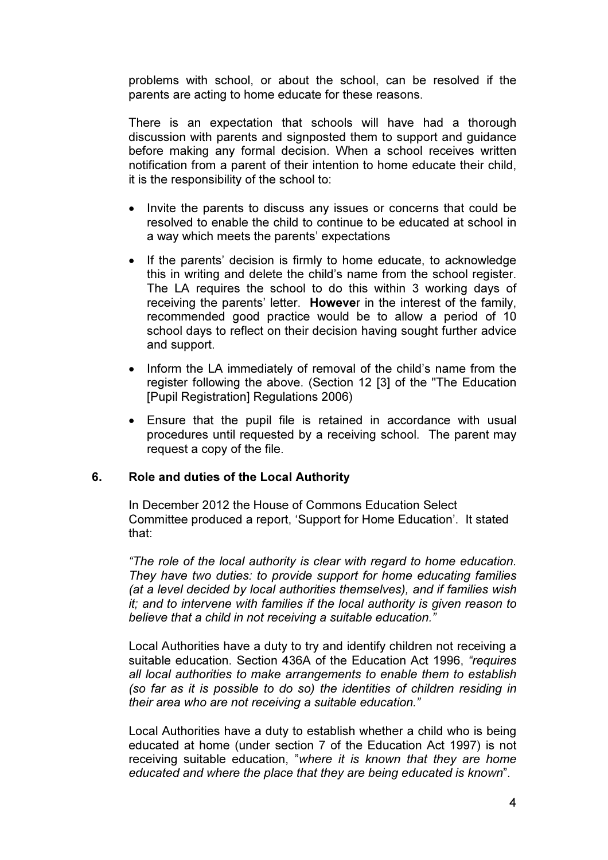problems with school, or about the school, can be resolved if the parents are acting to home educate for these reasons.

 There is an expectation that schools will have had a thorough discussion with parents and signposted them to support and guidance before making any formal decision. When a school receives written notification from a parent of their intention to home educate their child, it is the responsibility of the school to:

- Invite the parents to discuss any issues or concerns that could be resolved to enable the child to continue to be educated at school in a way which meets the parents' expectations
- If the parents' decision is firmly to home educate, to acknowledge this in writing and delete the child's name from the school register. The LA requires the school to do this within 3 working days of receiving the parents' letter. However in the interest of the family, recommended good practice would be to allow a period of 10 school days to reflect on their decision having sought further advice and support.
- Inform the LA immediately of removal of the child's name from the register following the above. (Section 12 [3] of the "The Education [Pupil Registration] Regulations 2006)
- Ensure that the pupil file is retained in accordance with usual procedures until requested by a receiving school. The parent may request a copy of the file.

### 6. Role and duties of the Local Authority

 In December 2012 the House of Commons Education Select Committee produced a report, 'Support for Home Education'. It stated that:

"The role of the local authority is clear with regard to home education. They have two duties: to provide support for home educating families (at a level decided by local authorities themselves), and if families wish it; and to intervene with families if the local authority is given reason to believe that a child in not receiving a suitable education."

Local Authorities have a duty to try and identify children not receiving a suitable education. Section 436A of the Education Act 1996, "requires all local authorities to make arrangements to enable them to establish (so far as it is possible to do so) the identities of children residing in their area who are not receiving a suitable education."

Local Authorities have a duty to establish whether a child who is being educated at home (under section 7 of the Education Act 1997) is not receiving suitable education, "where it is known that they are home educated and where the place that they are being educated is known".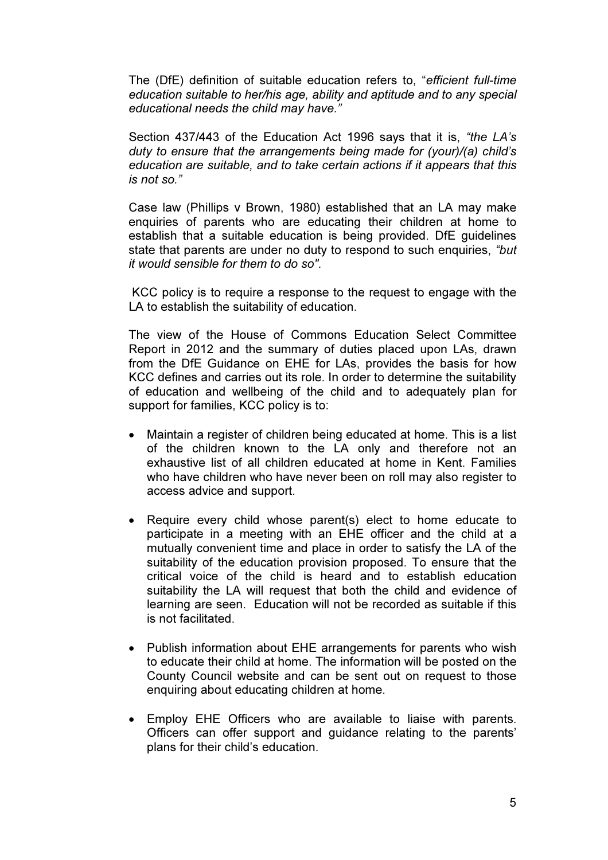The (DfE) definition of suitable education refers to, "efficient full-time education suitable to her/his age, ability and aptitude and to any special educational needs the child may have."

Section 437/443 of the Education Act 1996 says that it is, "the LA's duty to ensure that the arrangements being made for (your)/(a) child's education are suitable, and to take certain actions if it appears that this is not so."

Case law (Phillips v Brown, 1980) established that an LA may make enquiries of parents who are educating their children at home to establish that a suitable education is being provided. DfE guidelines state that parents are under no duty to respond to such enquiries, "but it would sensible for them to do so".

 KCC policy is to require a response to the request to engage with the LA to establish the suitability of education.

The view of the House of Commons Education Select Committee Report in 2012 and the summary of duties placed upon LAs, drawn from the DfE Guidance on EHE for LAs, provides the basis for how KCC defines and carries out its role. In order to determine the suitability of education and wellbeing of the child and to adequately plan for support for families, KCC policy is to:

- Maintain a register of children being educated at home. This is a list of the children known to the LA only and therefore not an exhaustive list of all children educated at home in Kent. Families who have children who have never been on roll may also register to access advice and support.
- Require every child whose parent(s) elect to home educate to participate in a meeting with an EHE officer and the child at a mutually convenient time and place in order to satisfy the LA of the suitability of the education provision proposed. To ensure that the critical voice of the child is heard and to establish education suitability the LA will request that both the child and evidence of learning are seen. Education will not be recorded as suitable if this is not facilitated.
- Publish information about EHE arrangements for parents who wish to educate their child at home. The information will be posted on the County Council website and can be sent out on request to those enquiring about educating children at home.
- Employ EHE Officers who are available to liaise with parents. Officers can offer support and guidance relating to the parents' plans for their child's education.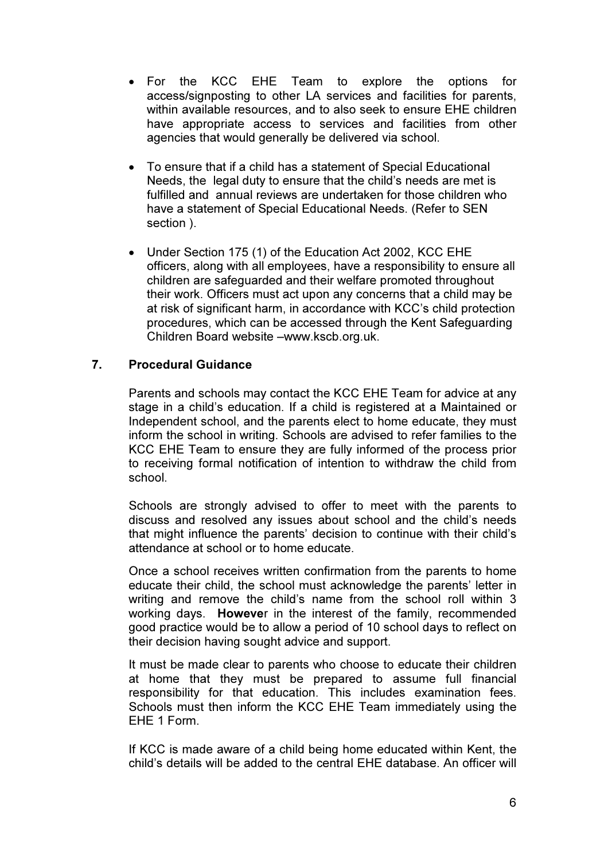- For the KCC EHE Team to explore the options for access/signposting to other LA services and facilities for parents, within available resources, and to also seek to ensure EHE children have appropriate access to services and facilities from other agencies that would generally be delivered via school.
- To ensure that if a child has a statement of Special Educational Needs, the legal duty to ensure that the child's needs are met is fulfilled and annual reviews are undertaken for those children who have a statement of Special Educational Needs. (Refer to SEN section ).
- Under Section 175 (1) of the Education Act 2002, KCC EHE officers, along with all employees, have a responsibility to ensure all children are safeguarded and their welfare promoted throughout their work. Officers must act upon any concerns that a child may be at risk of significant harm, in accordance with KCC's child protection procedures, which can be accessed through the Kent Safeguarding Children Board website –www.kscb.org.uk.

## 7. Procedural Guidance

 Parents and schools may contact the KCC EHE Team for advice at any stage in a child's education. If a child is registered at a Maintained or Independent school, and the parents elect to home educate, they must inform the school in writing. Schools are advised to refer families to the KCC EHE Team to ensure they are fully informed of the process prior to receiving formal notification of intention to withdraw the child from school.

Schools are strongly advised to offer to meet with the parents to discuss and resolved any issues about school and the child's needs that might influence the parents' decision to continue with their child's attendance at school or to home educate.

Once a school receives written confirmation from the parents to home educate their child, the school must acknowledge the parents' letter in writing and remove the child's name from the school roll within 3 working days. However in the interest of the family, recommended good practice would be to allow a period of 10 school days to reflect on their decision having sought advice and support.

 It must be made clear to parents who choose to educate their children at home that they must be prepared to assume full financial responsibility for that education. This includes examination fees. Schools must then inform the KCC EHE Team immediately using the EHE 1 Form.

 If KCC is made aware of a child being home educated within Kent, the child's details will be added to the central EHE database. An officer will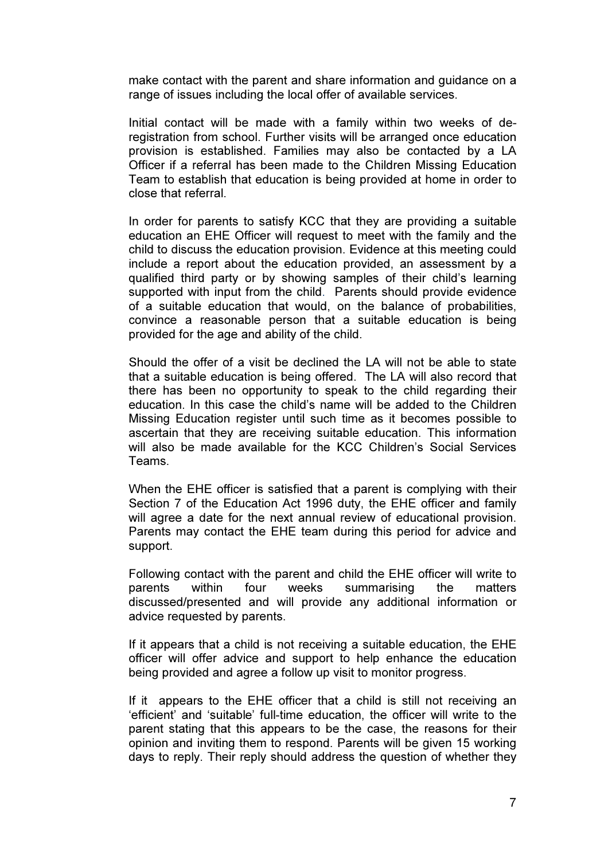make contact with the parent and share information and guidance on a range of issues including the local offer of available services.

 Initial contact will be made with a family within two weeks of deregistration from school. Further visits will be arranged once education provision is established. Families may also be contacted by a LA Officer if a referral has been made to the Children Missing Education Team to establish that education is being provided at home in order to close that referral.

In order for parents to satisfy KCC that they are providing a suitable education an EHE Officer will request to meet with the family and the child to discuss the education provision. Evidence at this meeting could include a report about the education provided, an assessment by a qualified third party or by showing samples of their child's learning supported with input from the child. Parents should provide evidence of a suitable education that would, on the balance of probabilities, convince a reasonable person that a suitable education is being provided for the age and ability of the child.

Should the offer of a visit be declined the LA will not be able to state that a suitable education is being offered. The LA will also record that there has been no opportunity to speak to the child regarding their education. In this case the child's name will be added to the Children Missing Education register until such time as it becomes possible to ascertain that they are receiving suitable education. This information will also be made available for the KCC Children's Social Services Teams.

 When the EHE officer is satisfied that a parent is complying with their Section 7 of the Education Act 1996 duty, the EHE officer and family will agree a date for the next annual review of educational provision. Parents may contact the EHE team during this period for advice and support.

 Following contact with the parent and child the EHE officer will write to parents within four weeks summarising the matters discussed/presented and will provide any additional information or advice requested by parents.

 If it appears that a child is not receiving a suitable education, the EHE officer will offer advice and support to help enhance the education being provided and agree a follow up visit to monitor progress.

 If it appears to the EHE officer that a child is still not receiving an 'efficient' and 'suitable' full-time education, the officer will write to the parent stating that this appears to be the case, the reasons for their opinion and inviting them to respond. Parents will be given 15 working days to reply. Their reply should address the question of whether they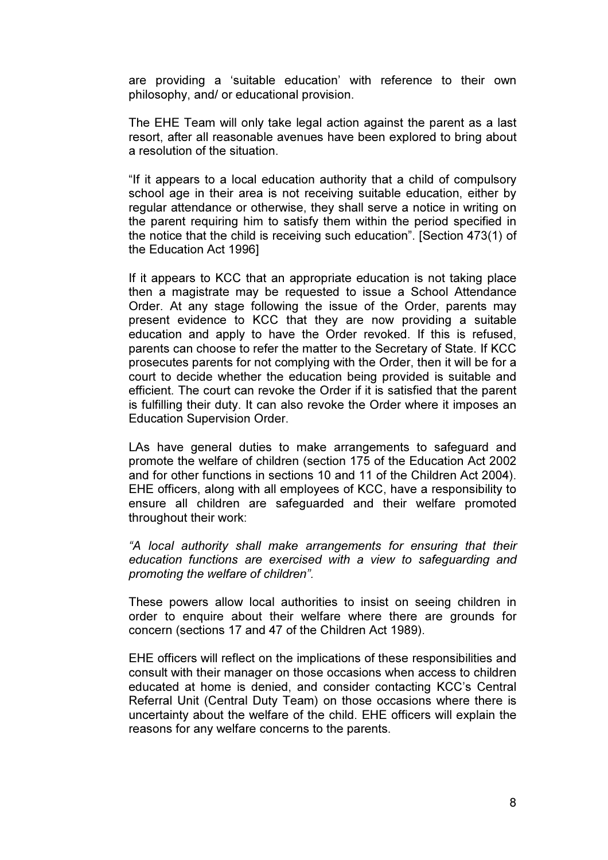are providing a 'suitable education' with reference to their own philosophy, and/ or educational provision.

 The EHE Team will only take legal action against the parent as a last resort, after all reasonable avenues have been explored to bring about a resolution of the situation.

 "If it appears to a local education authority that a child of compulsory school age in their area is not receiving suitable education, either by regular attendance or otherwise, they shall serve a notice in writing on the parent requiring him to satisfy them within the period specified in the notice that the child is receiving such education". [Section 473(1) of the Education Act 1996]

 If it appears to KCC that an appropriate education is not taking place then a magistrate may be requested to issue a School Attendance Order. At any stage following the issue of the Order, parents may present evidence to KCC that they are now providing a suitable education and apply to have the Order revoked. If this is refused, parents can choose to refer the matter to the Secretary of State. If KCC prosecutes parents for not complying with the Order, then it will be for a court to decide whether the education being provided is suitable and efficient. The court can revoke the Order if it is satisfied that the parent is fulfilling their duty. It can also revoke the Order where it imposes an Education Supervision Order.

 LAs have general duties to make arrangements to safeguard and promote the welfare of children (section 175 of the Education Act 2002 and for other functions in sections 10 and 11 of the Children Act 2004). EHE officers, along with all employees of KCC, have a responsibility to ensure all children are safeguarded and their welfare promoted throughout their work:

"A local authority shall make arrangements for ensuring that their education functions are exercised with a view to safeguarding and promoting the welfare of children".

 These powers allow local authorities to insist on seeing children in order to enquire about their welfare where there are grounds for concern (sections 17 and 47 of the Children Act 1989).

 EHE officers will reflect on the implications of these responsibilities and consult with their manager on those occasions when access to children educated at home is denied, and consider contacting KCC's Central Referral Unit (Central Duty Team) on those occasions where there is uncertainty about the welfare of the child. EHE officers will explain the reasons for any welfare concerns to the parents.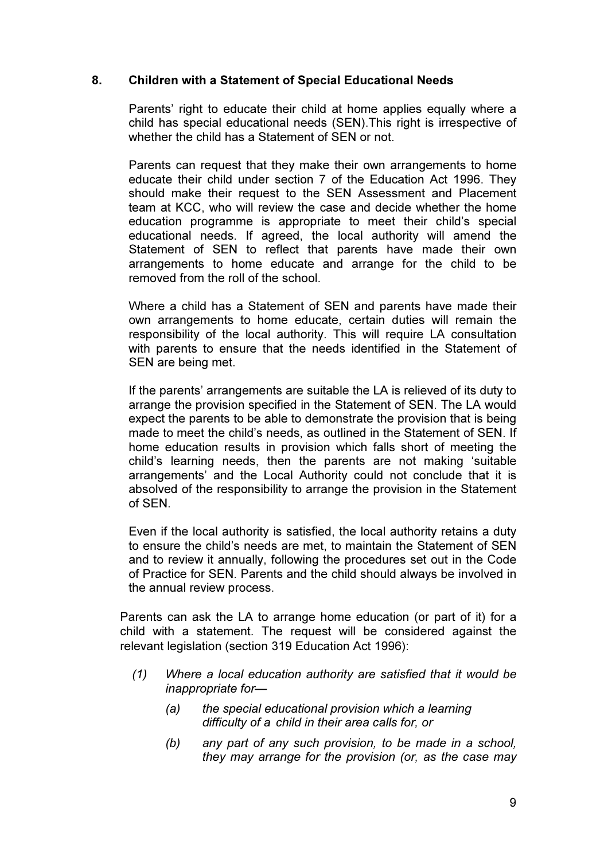### 8. Children with a Statement of Special Educational Needs

Parents' right to educate their child at home applies equally where a child has special educational needs (SEN).This right is irrespective of whether the child has a Statement of SEN or not.

 Parents can request that they make their own arrangements to home educate their child under section 7 of the Education Act 1996. They should make their request to the SEN Assessment and Placement team at KCC, who will review the case and decide whether the home education programme is appropriate to meet their child's special educational needs. If agreed, the local authority will amend the Statement of SEN to reflect that parents have made their own arrangements to home educate and arrange for the child to be removed from the roll of the school.

 Where a child has a Statement of SEN and parents have made their own arrangements to home educate, certain duties will remain the responsibility of the local authority. This will require LA consultation with parents to ensure that the needs identified in the Statement of SEN are being met.

 If the parents' arrangements are suitable the LA is relieved of its duty to arrange the provision specified in the Statement of SEN. The LA would expect the parents to be able to demonstrate the provision that is being made to meet the child's needs, as outlined in the Statement of SEN. If home education results in provision which falls short of meeting the child's learning needs, then the parents are not making 'suitable arrangements' and the Local Authority could not conclude that it is absolved of the responsibility to arrange the provision in the Statement of SEN.

 Even if the local authority is satisfied, the local authority retains a duty to ensure the child's needs are met, to maintain the Statement of SEN and to review it annually, following the procedures set out in the Code of Practice for SEN. Parents and the child should always be involved in the annual review process.

Parents can ask the LA to arrange home education (or part of it) for a child with a statement. The request will be considered against the relevant legislation (section 319 Education Act 1996):

- (1) Where a local education authority are satisfied that it would be inappropriate for—
	- (a) the special educational provision which a learning difficulty of a child in their area calls for, or
	- (b) any part of any such provision, to be made in a school, they may arrange for the provision (or, as the case may